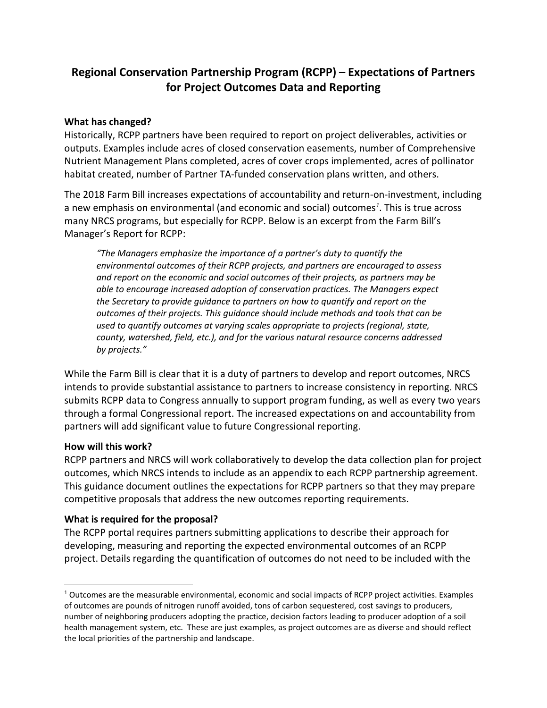# **Regional Conservation Partnership Program (RCPP) – Expectations of Partners for Project Outcomes Data and Reporting**

#### **What has changed?**

Historically, RCPP partners have been required to report on project deliverables, activities or outputs. Examples include acres of closed conservation easements, number of Comprehensive Nutrient Management Plans completed, acres of cover crops implemented, acres of pollinator habitat created, number of Partner TA-funded conservation plans written, and others.

The 2018 Farm Bill increases expectations of accountability and return-on-investment, including a new emphasis on environmental (and economic and social) outcomes*[1](#page-0-0)* . This is true across many NRCS programs, but especially for RCPP. Below is an excerpt from the Farm Bill's Manager's Report for RCPP:

*"The Managers emphasize the importance of a partner's duty to quantify the environmental outcomes of their RCPP projects, and partners are encouraged to assess and report on the economic and social outcomes of their projects, as partners may be able to encourage increased adoption of conservation practices. The Managers expect the Secretary to provide guidance to partners on how to quantify and report on the outcomes of their projects. This guidance should include methods and tools that can be used to quantify outcomes at varying scales appropriate to projects (regional, state, county, watershed, field, etc.), and for the various natural resource concerns addressed by projects."*

While the Farm Bill is clear that it is a duty of partners to develop and report outcomes, NRCS intends to provide substantial assistance to partners to increase consistency in reporting. NRCS submits RCPP data to Congress annually to support program funding, as well as every two years through a formal Congressional report. The increased expectations on and accountability from partners will add significant value to future Congressional reporting.

#### **How will this work?**

RCPP partners and NRCS will work collaboratively to develop the data collection plan for project outcomes, which NRCS intends to include as an appendix to each RCPP partnership agreement. This guidance document outlines the expectations for RCPP partners so that they may prepare competitive proposals that address the new outcomes reporting requirements.

### **What is required for the proposal?**

The RCPP portal requires partners submitting applications to describe their approach for developing, measuring and reporting the expected environmental outcomes of an RCPP project. Details regarding the quantification of outcomes do not need to be included with the

<span id="page-0-0"></span> $1$  Outcomes are the measurable environmental, economic and social impacts of RCPP project activities. Examples of outcomes are pounds of nitrogen runoff avoided, tons of carbon sequestered, cost savings to producers, number of neighboring producers adopting the practice, decision factors leading to producer adoption of a soil health management system, etc. These are just examples, as project outcomes are as diverse and should reflect the local priorities of the partnership and landscape.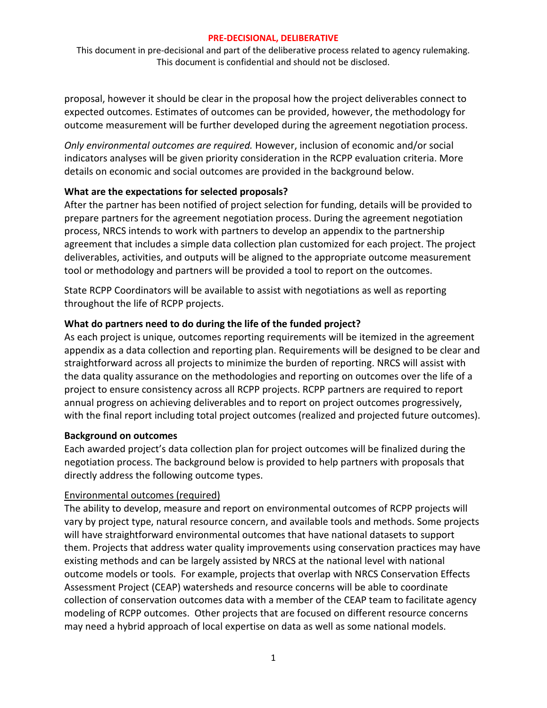This document in pre-decisional and part of the deliberative process related to agency rulemaking. This document is confidential and should not be disclosed.

proposal, however it should be clear in the proposal how the project deliverables connect to expected outcomes. Estimates of outcomes can be provided, however, the methodology for outcome measurement will be further developed during the agreement negotiation process.

*Only environmental outcomes are required.* However, inclusion of economic and/or social indicators analyses will be given priority consideration in the RCPP evaluation criteria. More details on economic and social outcomes are provided in the background below.

### **What are the expectations for selected proposals?**

After the partner has been notified of project selection for funding, details will be provided to prepare partners for the agreement negotiation process. During the agreement negotiation process, NRCS intends to work with partners to develop an appendix to the partnership agreement that includes a simple data collection plan customized for each project. The project deliverables, activities, and outputs will be aligned to the appropriate outcome measurement tool or methodology and partners will be provided a tool to report on the outcomes.

State RCPP Coordinators will be available to assist with negotiations as well as reporting throughout the life of RCPP projects.

### **What do partners need to do during the life of the funded project?**

As each project is unique, outcomes reporting requirements will be itemized in the agreement appendix as a data collection and reporting plan. Requirements will be designed to be clear and straightforward across all projects to minimize the burden of reporting. NRCS will assist with the data quality assurance on the methodologies and reporting on outcomes over the life of a project to ensure consistency across all RCPP projects. RCPP partners are required to report annual progress on achieving deliverables and to report on project outcomes progressively, with the final report including total project outcomes (realized and projected future outcomes).

### **Background on outcomes**

Each awarded project's data collection plan for project outcomes will be finalized during the negotiation process. The background below is provided to help partners with proposals that directly address the following outcome types.

### Environmental outcomes (required)

The ability to develop, measure and report on environmental outcomes of RCPP projects will vary by project type, natural resource concern, and available tools and methods. Some projects will have straightforward environmental outcomes that have national datasets to support them. Projects that address water quality improvements using conservation practices may have existing methods and can be largely assisted by NRCS at the national level with national outcome models or tools. For example, projects that overlap with NRCS Conservation Effects Assessment Project (CEAP) watersheds and resource concerns will be able to coordinate collection of conservation outcomes data with a member of the CEAP team to facilitate agency modeling of RCPP outcomes. Other projects that are focused on different resource concerns may need a hybrid approach of local expertise on data as well as some national models.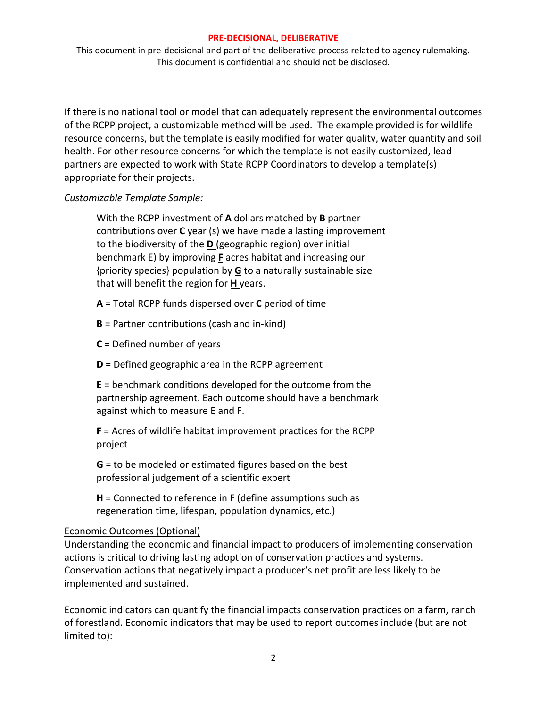This document in pre-decisional and part of the deliberative process related to agency rulemaking. This document is confidential and should not be disclosed.

If there is no national tool or model that can adequately represent the environmental outcomes of the RCPP project, a customizable method will be used. The example provided is for wildlife resource concerns, but the template is easily modified for water quality, water quantity and soil health. For other resource concerns for which the template is not easily customized, lead partners are expected to work with State RCPP Coordinators to develop a template(s) appropriate for their projects.

*Customizable Template Sample:*

With the RCPP investment of **A** dollars matched by **B** partner contributions over **C** year (s) we have made a lasting improvement to the biodiversity of the **D** (geographic region) over initial benchmark E) by improving **F** acres habitat and increasing our {priority species} population by **G** to a naturally sustainable size that will benefit the region for **H** years.

- **A** = Total RCPP funds dispersed over **C** period of time
- **B** = Partner contributions (cash and in-kind)
- **C** = Defined number of years
- **D** = Defined geographic area in the RCPP agreement

**E** = benchmark conditions developed for the outcome from the partnership agreement. Each outcome should have a benchmark against which to measure E and F.

**F** = Acres of wildlife habitat improvement practices for the RCPP project

**G** = to be modeled or estimated figures based on the best professional judgement of a scientific expert

**H** = Connected to reference in F (define assumptions such as regeneration time, lifespan, population dynamics, etc.)

# Economic Outcomes (Optional)

Understanding the economic and financial impact to producers of implementing conservation actions is critical to driving lasting adoption of conservation practices and systems. Conservation actions that negatively impact a producer's net profit are less likely to be implemented and sustained.

Economic indicators can quantify the financial impacts conservation practices on a farm, ranch of forestland. Economic indicators that may be used to report outcomes include (but are not limited to):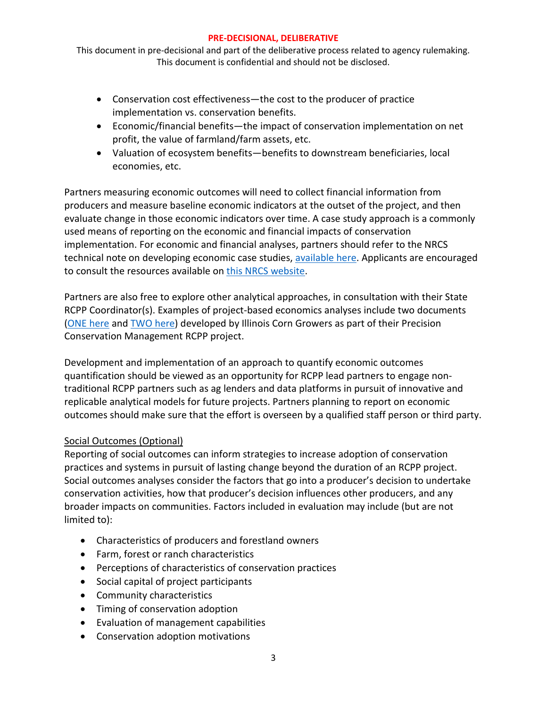This document in pre-decisional and part of the deliberative process related to agency rulemaking. This document is confidential and should not be disclosed.

- Conservation cost effectiveness—the cost to the producer of practice implementation vs. conservation benefits.
- Economic/financial benefits—the impact of conservation implementation on net profit, the value of farmland/farm assets, etc.
- Valuation of ecosystem benefits—benefits to downstream beneficiaries, local economies, etc.

Partners measuring economic outcomes will need to collect financial information from producers and measure baseline economic indicators at the outset of the project, and then evaluate change in those economic indicators over time. A case study approach is a commonly used means of reporting on the economic and financial impacts of conservation implementation. For economic and financial analyses, partners should refer to the NRCS technical note on developing economic case studies, [available here.](https://www.nrcs.usda.gov/wps/portal/nrcs/detail/national/technical/econ/data/?cid=nrcseprd1298423) Applicants are encouraged to consult the resources available on [this NRCS website.](https://www.nrcs.usda.gov/wps/portal/nrcs/main/national/technical/econ/costs/)

Partners are also free to explore other analytical approaches, in consultation with their State RCPP Coordinator(s). Examples of project-based economics analyses include two documents [\(ONE here](https://farmdocdaily.illinois.edu/2019/03/tillage-passes-and-returns-on-corn-soybean-farms-in-east-central-illinois.html) and [TWO here\)](https://farmdocdaily.illinois.edu/2019/03/the-economic-advisability-of-lowering-2019-nitrogen-application-rates-on-corn.html) developed by Illinois Corn Growers as part of their Precision Conservation Management RCPP project.

Development and implementation of an approach to quantify economic outcomes quantification should be viewed as an opportunity for RCPP lead partners to engage nontraditional RCPP partners such as ag lenders and data platforms in pursuit of innovative and replicable analytical models for future projects. Partners planning to report on economic outcomes should make sure that the effort is overseen by a qualified staff person or third party.

# Social Outcomes (Optional)

Reporting of social outcomes can inform strategies to increase adoption of conservation practices and systems in pursuit of lasting change beyond the duration of an RCPP project. Social outcomes analyses consider the factors that go into a producer's decision to undertake conservation activities, how that producer's decision influences other producers, and any broader impacts on communities. Factors included in evaluation may include (but are not limited to):

- Characteristics of producers and forestland owners
- Farm, forest or ranch characteristics
- Perceptions of characteristics of conservation practices
- Social capital of project participants
- Community characteristics
- Timing of conservation adoption
- Evaluation of management capabilities
- Conservation adoption motivations